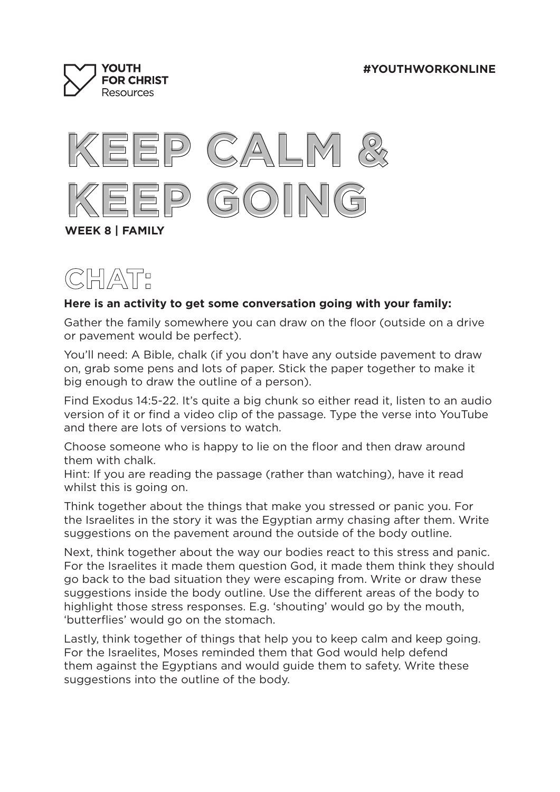





## **Here is an activity to get some conversation going with your family:**

Gather the family somewhere you can draw on the floor (outside on a drive or pavement would be perfect).

You'll need: A Bible, chalk (if you don't have any outside pavement to draw on, grab some pens and lots of paper. Stick the paper together to make it big enough to draw the outline of a person).

Find Exodus 14:5-22. It's quite a big chunk so either read it, listen to an audio version of it or find a video clip of the passage. Type the verse into YouTube and there are lots of versions to watch.

Choose someone who is happy to lie on the floor and then draw around them with chalk.

Hint: If you are reading the passage (rather than watching), have it read whilst this is going on.

Think together about the things that make you stressed or panic you. For the Israelites in the story it was the Egyptian army chasing after them. Write suggestions on the pavement around the outside of the body outline.

Next, think together about the way our bodies react to this stress and panic. For the Israelites it made them question God, it made them think they should go back to the bad situation they were escaping from. Write or draw these suggestions inside the body outline. Use the different areas of the body to highlight those stress responses. E.g. 'shouting' would go by the mouth, 'butterflies' would go on the stomach.

Lastly, think together of things that help you to keep calm and keep going. For the Israelites, Moses reminded them that God would help defend them against the Egyptians and would guide them to safety. Write these suggestions into the outline of the body.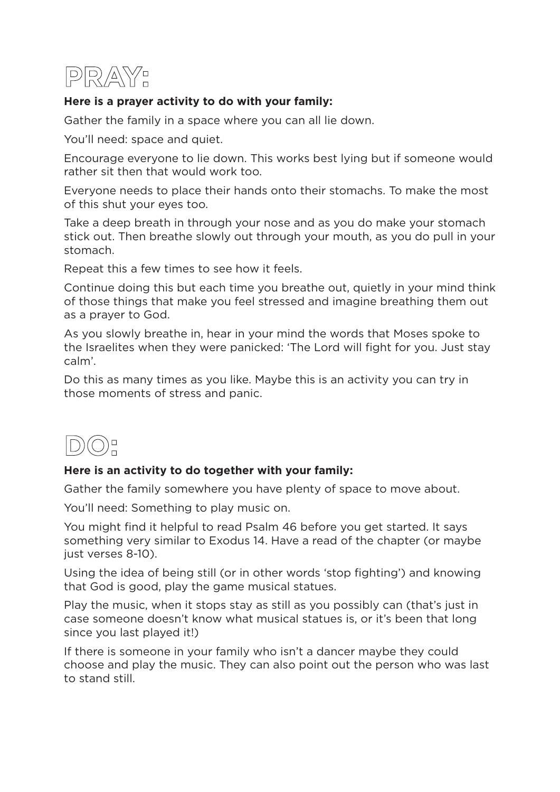

## **Here is a prayer activity to do with your family:**

Gather the family in a space where you can all lie down.

You'll need: space and quiet.

Encourage everyone to lie down. This works best lying but if someone would rather sit then that would work too.

Everyone needs to place their hands onto their stomachs. To make the most of this shut your eyes too.

Take a deep breath in through your nose and as you do make your stomach stick out. Then breathe slowly out through your mouth, as you do pull in your stomach.

Repeat this a few times to see how it feels.

Continue doing this but each time you breathe out, quietly in your mind think of those things that make you feel stressed and imagine breathing them out as a prayer to God.

As you slowly breathe in, hear in your mind the words that Moses spoke to the Israelites when they were panicked: 'The Lord will fight for you. Just stay calm'.

Do this as many times as you like. Maybe this is an activity you can try in those moments of stress and panic.



## **Here is an activity to do together with your family:**

Gather the family somewhere you have plenty of space to move about.

You'll need: Something to play music on.

You might find it helpful to read Psalm 46 before you get started. It says something very similar to Exodus 14. Have a read of the chapter (or maybe just verses 8-10).

Using the idea of being still (or in other words 'stop fighting') and knowing that God is good, play the game musical statues.

Play the music, when it stops stay as still as you possibly can (that's just in case someone doesn't know what musical statues is, or it's been that long since you last played it!)

If there is someone in your family who isn't a dancer maybe they could choose and play the music. They can also point out the person who was last to stand still.